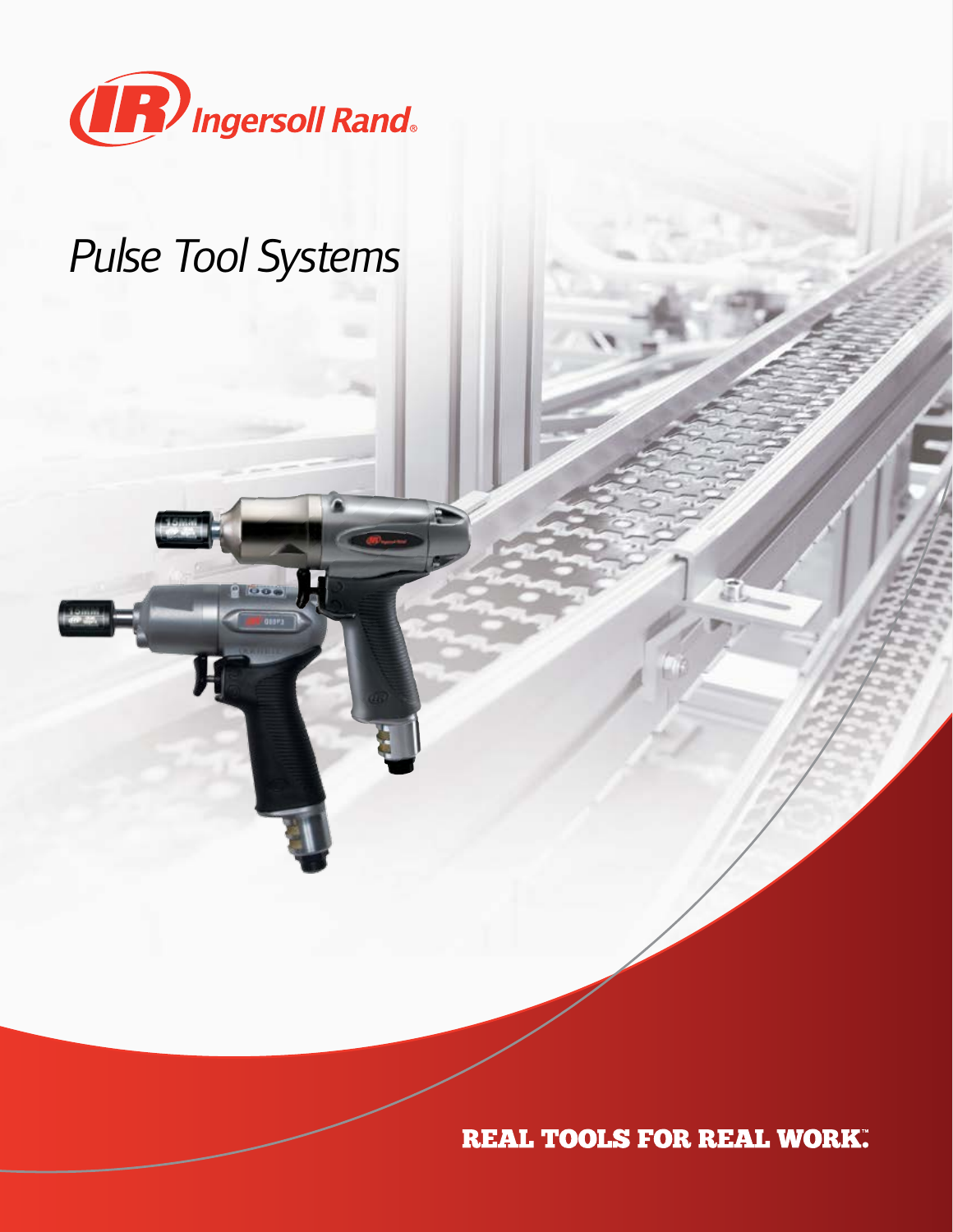

### *Pulse Tool Systems*

**REAL TOOLS FOR REAL WORK.**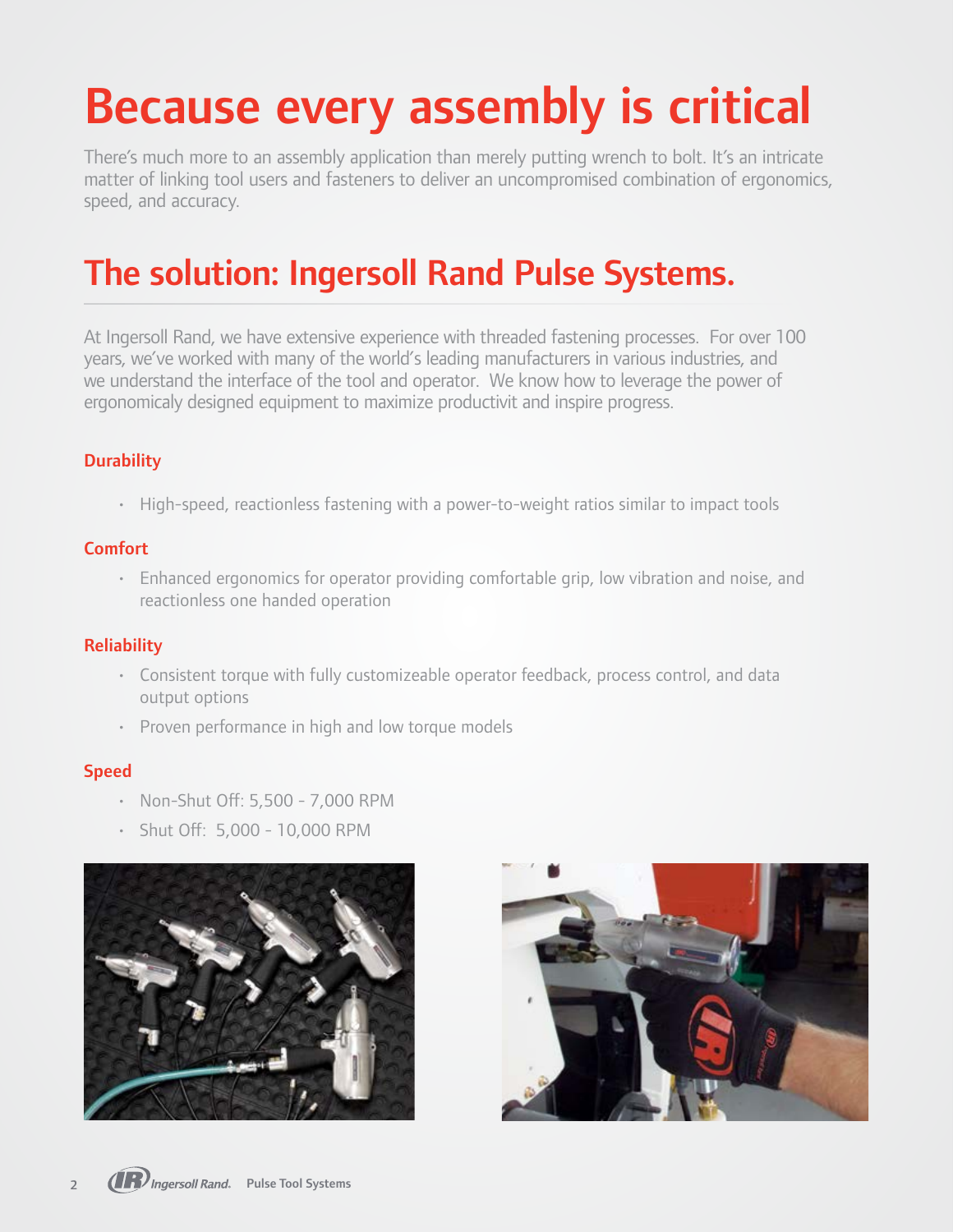# Because every assembly is critical

There's much more to an assembly application than merely putting wrench to bolt. It's an intricate matter of linking tool users and fasteners to deliver an uncompromised combination of ergonomics, speed, and accuracy.

### The solution: Ingersoll Rand Pulse Systems.

At Ingersoll Rand, we have extensive experience with threaded fastening processes. For over 100 years, we've worked with many of the world's leading manufacturers in various industries, and we understand the interface of the tool and operator. We know how to leverage the power of ergonomicaly designed equipment to maximize productivit and inspire progress.

#### **Durability**

• High-speed, reactionless fastening with a power-to-weight ratios similar to impact tools

#### **Comfort**

• Enhanced ergonomics for operator providing comfortable grip, low vibration and noise, and reactionless one handed operation

#### **Reliability**

- Consistent torque with fully customizeable operator feedback, process control, and data output options
- Proven performance in high and low torque models

#### Speed

- Non-Shut Off: 5,500 7,000 RPM
- Shut Off: 5,000 10,000 RPM



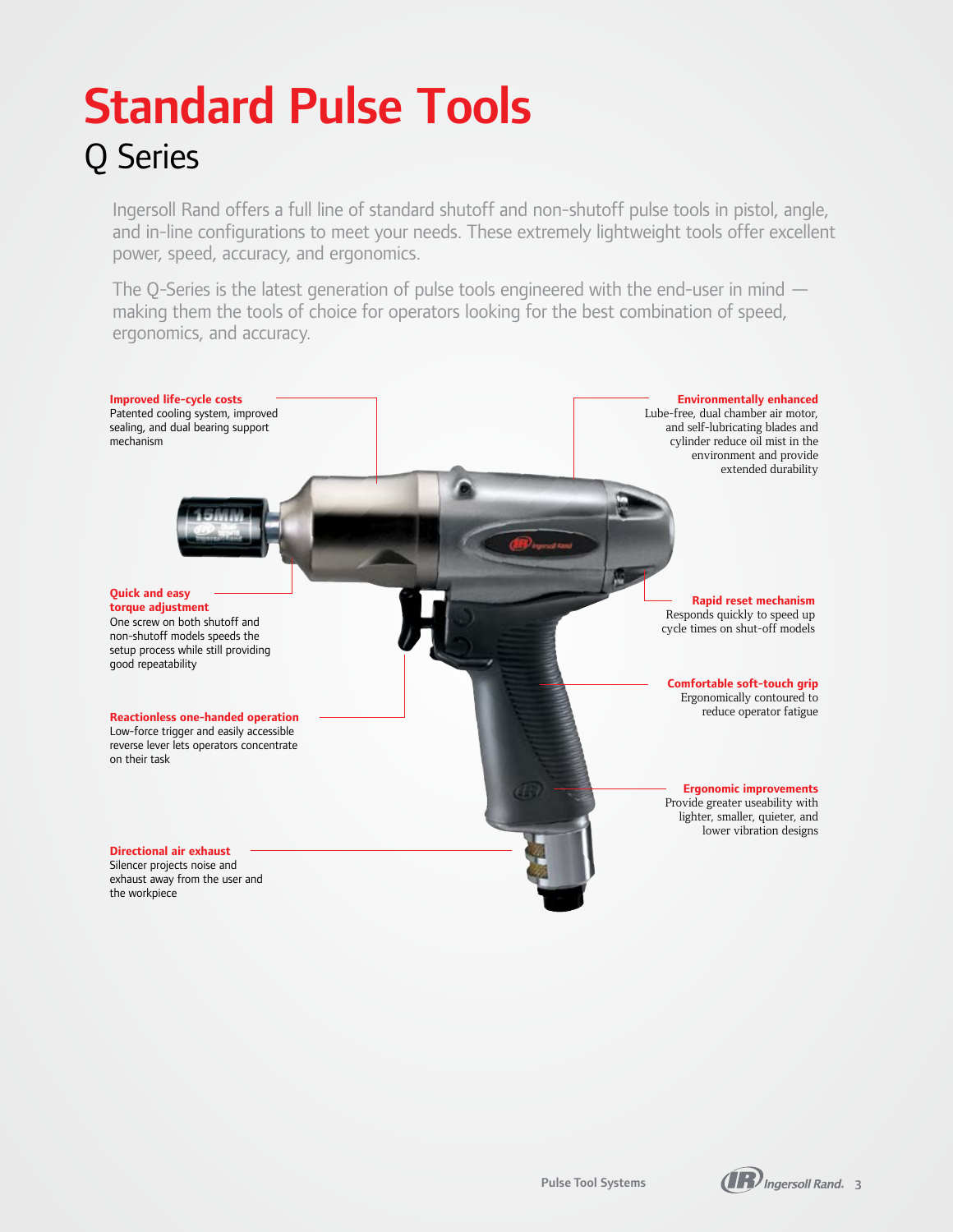### Standard Pulse Tools Q Series

Ingersoll Rand offers a full line of standard shutoff and non-shutoff pulse tools in pistol, angle, and in-line configurations to meet your needs. These extremely lightweight tools offer excellent power, speed, accuracy, and ergonomics.

The Q-Series is the latest generation of pulse tools engineered with the end-user in mind making them the tools of choice for operators looking for the best combination of speed, ergonomics, and accuracy.



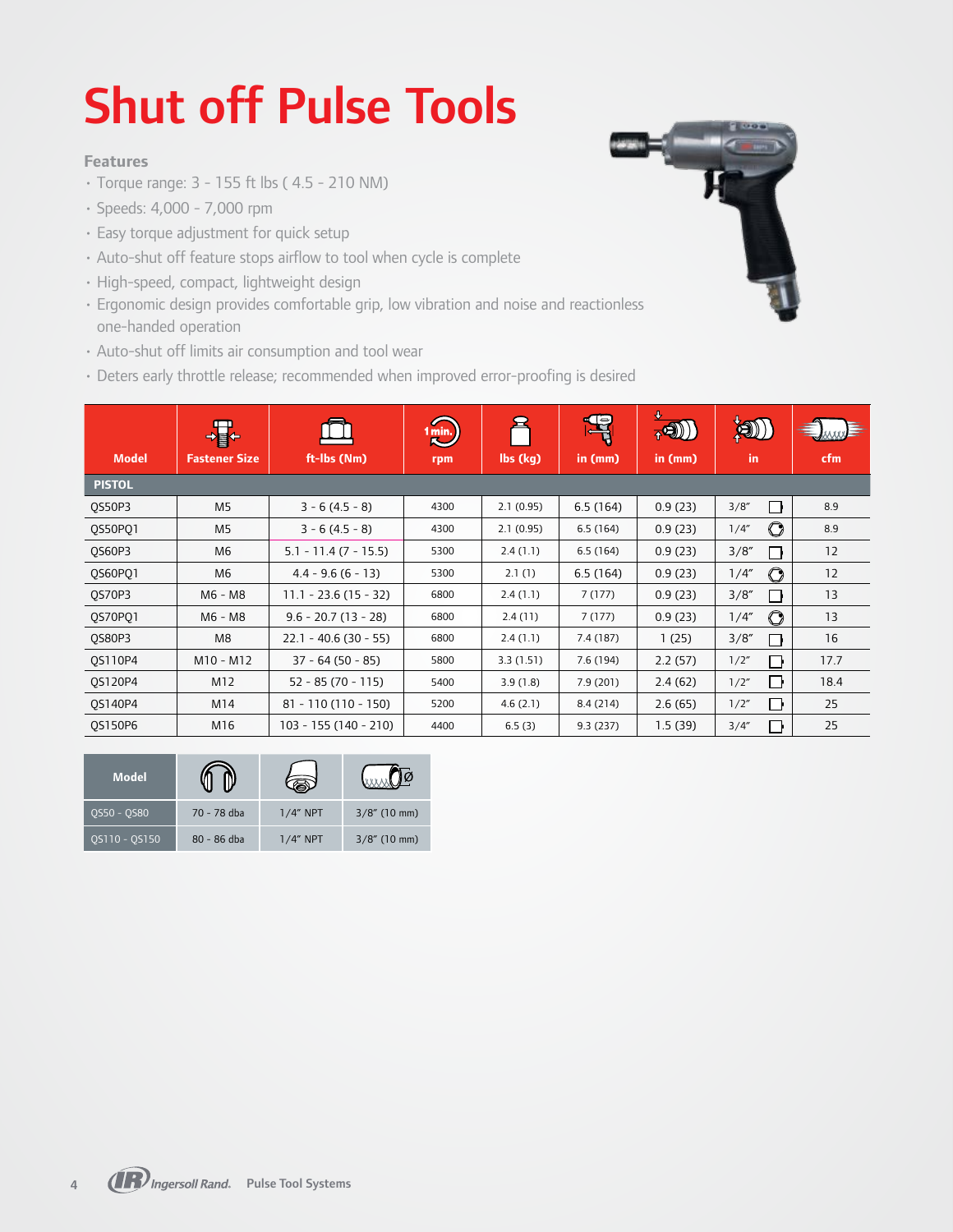# Shut off Pulse Tools

#### **Features**

- Torque range: 3 155 ft lbs ( 4.5 210 NM)
- Speeds: 4,000 7,000 rpm
- Easy torque adjustment for quick setup
- Auto-shut off feature stops airflow to tool when cycle is complete
- High-speed, compact, lightweight design
- Ergonomic design provides comfortable grip, low vibration and noise and reactionless one-handed operation
- Auto-shut off limits air consumption and tool wear
- Deters early throttle release; recommended when improved error-proofing is desired

|                | 讆                    |                         | $1$ min. | 2         | <b>P</b>  | ₩<br>$\overline{A}$ | $\left( 0\right)$    |      |
|----------------|----------------------|-------------------------|----------|-----------|-----------|---------------------|----------------------|------|
| <b>Model</b>   | <b>Fastener Size</b> | ft-Ibs (Nm)             | rpm      | lbs (kg)  | in (mm)   | in $(mm)$           | in.                  | cfm  |
| <b>PISTOL</b>  |                      |                         |          |           |           |                     |                      |      |
| QS50P3         | M <sub>5</sub>       | $3 - 6(4.5 - 8)$        | 4300     | 2.1(0.95) | 6.5(164)  | 0.9(23)             | 3/8''<br>l H         | 8.9  |
| QS50PQ1        | M <sub>5</sub>       | $3 - 6(4.5 - 8)$        | 4300     | 2.1(0.95) | 6.5(164)  | 0.9(23)             | $\bigcirc$<br>1/4''  | 8.9  |
| QS60P3         | M6                   | $5.1 - 11.4 (7 - 15.5)$ | 5300     | 2.4(1.1)  | 6.5(164)  | 0.9(23)             | 3/8''<br>- 1         | 12   |
| 0S60P01        | M6                   | $4.4 - 9.6(6 - 13)$     | 5300     | 2.1(1)    | 6.5(164)  | 0.9(23)             | $\bigcirc$<br>1/4''  | 12   |
| QS70P3         | M6 - M8              | $11.1 - 23.6(15 - 32)$  | 6800     | 2.4(1.1)  | 7(177)    | 0.9(23)             | 3/8''<br>- 1         | 13   |
| QS70PQ1        | M6 - M8              | $9.6 - 20.7(13 - 28)$   | 6800     | 2.4(11)   | 7(177)    | 0.9(23)             | $\mathbf O$<br>1/4'' | 13   |
| QS80P3         | M8                   | $22.1 - 40.6(30 - 55)$  | 6800     | 2.4(1.1)  | 7.4 (187) | 1(25)               | 3/8''                | 16   |
| OS110P4        | $M10 - M12$          | $37 - 64(50 - 85)$      | 5800     | 3.3(1.51) | 7.6(194)  | 2.2(57)             | 1/2"<br>⊓            | 17.7 |
| QS120P4        | M12                  | $52 - 85(70 - 115)$     | 5400     | 3.9(1.8)  | 7.9 (201) | 2.4(62)             | П<br>1/2"            | 18.4 |
| OS140P4        | M14                  | $81 - 110(110 - 150)$   | 5200     | 4.6(2.1)  | 8.4 (214) | 2.6(65)             | 1/2"<br>Γŀ           | 25   |
| <b>OS150P6</b> | M16                  | 103 - 155 (140 - 210)   | 4400     | 6.5(3)    | 9.3(237)  | 1.5(39)             | 3/4''                | 25   |

| <b>Model</b>  |             |             |                 |
|---------------|-------------|-------------|-----------------|
| OS50 - OS80   | 70 - 78 dba | $1/4$ " NPT | $3/8$ " (10 mm) |
| OS110 - OS150 | 80 - 86 dba | $1/4$ " NPT | $3/8$ " (10 mm) |

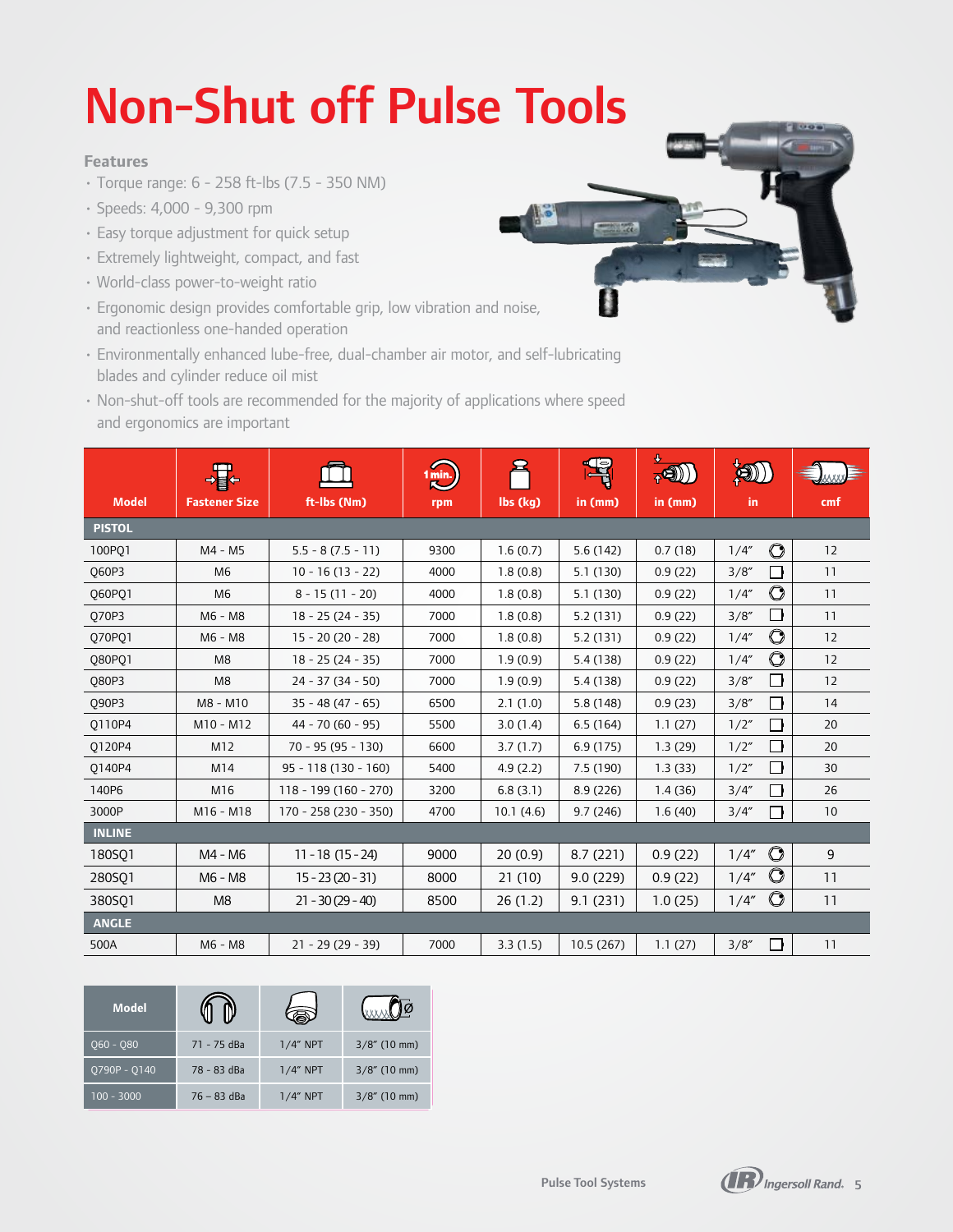# Non-Shut off Pulse Tools

#### **Features**

- Torque range: 6 258 ft-lbs (7.5 350 NM)
- Speeds: 4,000 9,300 rpm
- Easy torque adjustment for quick setup
- Extremely lightweight, compact, and fast
- World-class power-to-weight ratio
- Ergonomic design provides comfortable grip, low vibration and noise, and reactionless one-handed operation
- Environmentally enhanced lube-free, dual-chamber air motor, and self-lubricating blades and cylinder reduce oil mist
- Non-shut-off tools are recommended for the majority of applications where speed and ergonomics are important

|               |                      |                        | 1 min. |           | $\Box$    | ₩<br>$_{\mathsf{A}} \mathbf{Q}$ | 4)                             |     |  |
|---------------|----------------------|------------------------|--------|-----------|-----------|---------------------------------|--------------------------------|-----|--|
| <b>Model</b>  | <b>Fastener Size</b> | ft-Ibs (Nm)            | rpm    | lbs (kg)  | in (mm)   | in (mm)                         | in.                            | cmf |  |
| <b>PISTOL</b> |                      |                        |        |           |           |                                 |                                |     |  |
| 100PO1        | M4 - M5              | $5.5 - 8(7.5 - 11)$    | 9300   | 1.6(0.7)  | 5.6(142)  | 0.7(18)                         | $\bigcirc$<br>1/4''            | 12  |  |
| <b>Q60P3</b>  | M <sub>6</sub>       | $10 - 16(13 - 22)$     | 4000   | 1.8(0.8)  | 5.1(130)  | 0.9(22)                         | 3/8''<br>l k                   | 11  |  |
| 060P01        | M <sub>6</sub>       | $8 - 15(11 - 20)$      | 4000   | 1.8(0.8)  | 5.1(130)  | 0.9(22)                         | $\bigcirc$<br>1/4''            | 11  |  |
| 070P3         | M6 - M8              | $18 - 25(24 - 35)$     | 7000   | 1.8(0.8)  | 5.2(131)  | 0.9(22)                         | 3/8''                          | 11  |  |
| Q70PQ1        | M6 - M8              | $15 - 20(20 - 28)$     | 7000   | 1.8(0.8)  | 5.2(131)  | 0.9(22)                         | $\bigcirc$<br>1/4''            | 12  |  |
| Q80PQ1        | M <sub>8</sub>       | $18 - 25(24 - 35)$     | 7000   | 1.9(0.9)  | 5.4 (138) | 0.9(22)                         | $\mathbf{\circ}$<br>1/4''      | 12  |  |
| <b>Q80P3</b>  | M <sub>8</sub>       | $24 - 37(34 - 50)$     | 7000   | 1.9(0.9)  | 5.4(138)  | 0.9(22)                         | ∩<br>3/8''                     | 12  |  |
| Q90P3         | M8 - M10             | $35 - 48(47 - 65)$     | 6500   | 2.1(1.0)  | 5.8 (148) | 0.9(23)                         | 3/8''<br>−⊧                    | 14  |  |
| Q110P4        | M10 - M12            | $44 - 70(60 - 95)$     | 5500   | 3.0(1.4)  | 6.5(164)  | 1.1(27)                         | 1/2"<br>l b                    | 20  |  |
| Q120P4        | M12                  | $70 - 95(95 - 130)$    | 6600   | 3.7(1.7)  | 6.9(175)  | 1.3(29)                         | 1/2"<br>— ⊧                    | 20  |  |
| 0140P4        | M14                  | $95 - 118(130 - 160)$  | 5400   | 4.9(2.2)  | 7.5(190)  | 1.3(33)                         | ∩<br>1/2"                      | 30  |  |
| 140P6         | M16                  | $118 - 199(160 - 270)$ | 3200   | 6.8(3.1)  | 8.9(226)  | 1.4(36)                         | 3/4''<br>∣ ∤                   | 26  |  |
| 3000P         | M16 - M18            | 170 - 258 (230 - 350)  | 4700   | 10.1(4.6) | 9.7(246)  | 1.6(40)                         | 3/4''<br>∩                     | 10  |  |
| <b>INLINE</b> |                      |                        |        |           |           |                                 |                                |     |  |
| 180SO1        | M4 - M6              | $11 - 18(15 - 24)$     | 9000   | 20(0.9)   | 8.7(221)  | 0.9(22)                         | $\bigcirc$<br>1/4''            | 9   |  |
| 280SO1        | M6 - M8              | $15 - 23(20 - 31)$     | 8000   | 21(10)    | 9.0(229)  | 0.9(22)                         | $\mathbf{\mathcal{O}}$<br>1/4" | 11  |  |
| 380SQ1        | M <sub>8</sub>       | $21 - 30(29 - 40)$     | 8500   | 26(1.2)   | 9.1(231)  | 1.0(25)                         | $\mathbf{\circ}$<br>1/4"       | 11  |  |
| <b>ANGLE</b>  |                      |                        |        |           |           |                                 |                                |     |  |
| 500A          | M6 - M8              | $21 - 29(29 - 39)$     | 7000   | 3.3(1.5)  | 10.5(267) | 1.1(27)                         | 3/8''<br>Ιŀ                    | 11  |  |

| <b>Model</b> |               |             |                 |
|--------------|---------------|-------------|-----------------|
| 060 - 080    | 71 - 75 dBa   | $1/4$ " NPT | $3/8$ " (10 mm) |
| Q790P - Q140 | 78 - 83 dBa   | $1/4$ " NPT | $3/8$ " (10 mm) |
| $100 - 3000$ | $76 - 83$ dBa | $1/4$ " NPT | $3/8$ " (10 mm) |



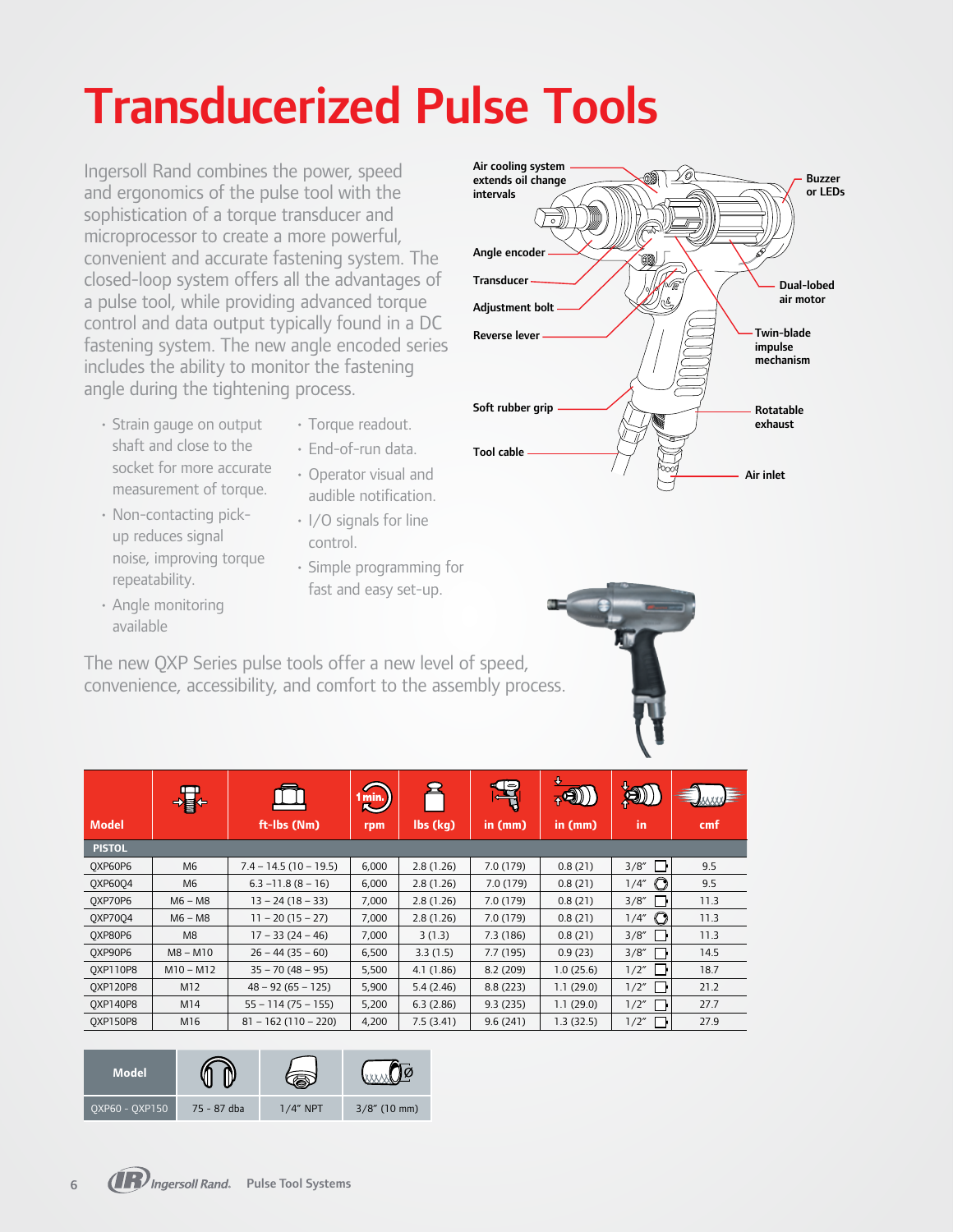# Transducerized Pulse Tools

Ingersoll Rand combines the power, speed and ergonomics of the pulse tool with the sophistication of a torque transducer and microprocessor to create a more powerful, convenient and accurate fastening system. The closed-loop system offers all the advantages of a pulse tool, while providing advanced torque control and data output typically found in a DC fastening system. The new angle encoded series includes the ability to monitor the fastening angle during the tightening process.

- Strain gauge on output shaft and close to the socket for more accurate measurement of torque.
- Non-contacting pickup reduces signal noise, improving torque repeatability.
- Angle monitoring available
- Torque readout.
- End-of-run data.
- Operator visual and audible notification.
- I/O signals for line control.
- Simple programming for fast and easy set-up.

The new QXP Series pulse tools offer a new level of speed, convenience, accessibility, and comfort to the assembly process.

|                 | 小事             |                         | 1 min.<br><b>K</b> |           | $\mathbb{F}$ | ⊕<br><b>AD</b> | 阅          |      |
|-----------------|----------------|-------------------------|--------------------|-----------|--------------|----------------|------------|------|
| <b>Model</b>    |                | ft-Ibs (Nm)             | rpm                | lbs (kg)  | in $(mm)$    | in (mm)        | in         | cmf  |
| <b>PISTOL</b>   |                |                         |                    |           |              |                |            |      |
| OXP60P6         | M <sub>6</sub> | $7.4 - 14.5(10 - 19.5)$ | 6,000              | 2.8(1.26) | 7.0 (179)    | 0.8(21)        | 3/8''      | 9.5  |
| <b>QXP6004</b>  | M6             | $6.3 - 11.8 (8 - 16)$   | 6,000              | 2.8(1.26) | 7.0 (179)    | 0.8(21)        | C<br>1/4'' | 9.5  |
| OXP70P6         | $M6 - M8$      | $13 - 24(18 - 33)$      | 7,000              | 2.8(1.26) | 7.0(179)     | 0.8(21)        | 3/8''      | 11.3 |
| <b>OXP7004</b>  | $M6 - M8$      | $11 - 20(15 - 27)$      | 7,000              | 2.8(1.26) | 7.0 (179)    | 0.8(21)        | O<br>1/4"  | 11.3 |
| OXP80P6         | M <sub>8</sub> | $17 - 33(24 - 46)$      | 7,000              | 3(1.3)    | 7.3 (186)    | 0.8(21)        | 3/8''      | 11.3 |
| OXP90P6         | $M8 - M10$     | $26 - 44(35 - 60)$      | 6,500              | 3.3(1.5)  | 7.7(195)     | 0.9(23)        | 3/8''      | 14.5 |
| <b>OXP110P8</b> | $M10 - M12$    | $35 - 70(48 - 95)$      | 5,500              | 4.1(1.86) | 8.2(209)     | 1.0(25.6)      | 1/2"       | 18.7 |
| <b>OXP120P8</b> | M12            | $48 - 92(65 - 125)$     | 5,900              | 5.4(2.46) | 8.8(223)     | 1.1(29.0)      | 1/2"       | 21.2 |
| <b>OXP140P8</b> | M14            | $55 - 114(75 - 155)$    | 5,200              | 6.3(2.86) | 9.3(235)     | 1.1(29.0)      | 1/2"       | 27.7 |
| <b>OXP150P8</b> | M16            | $81 - 162(110 - 220)$   | 4,200              | 7.5(3.41) | 9.6(241)     | 1.3(32.5)      | 1/2"       | 27.9 |

| <b>Model</b>   |             |         |                 |
|----------------|-------------|---------|-----------------|
| OXP60 - OXP150 | 75 - 87 dba | /4" NPT | $3/8$ " (10 mm) |





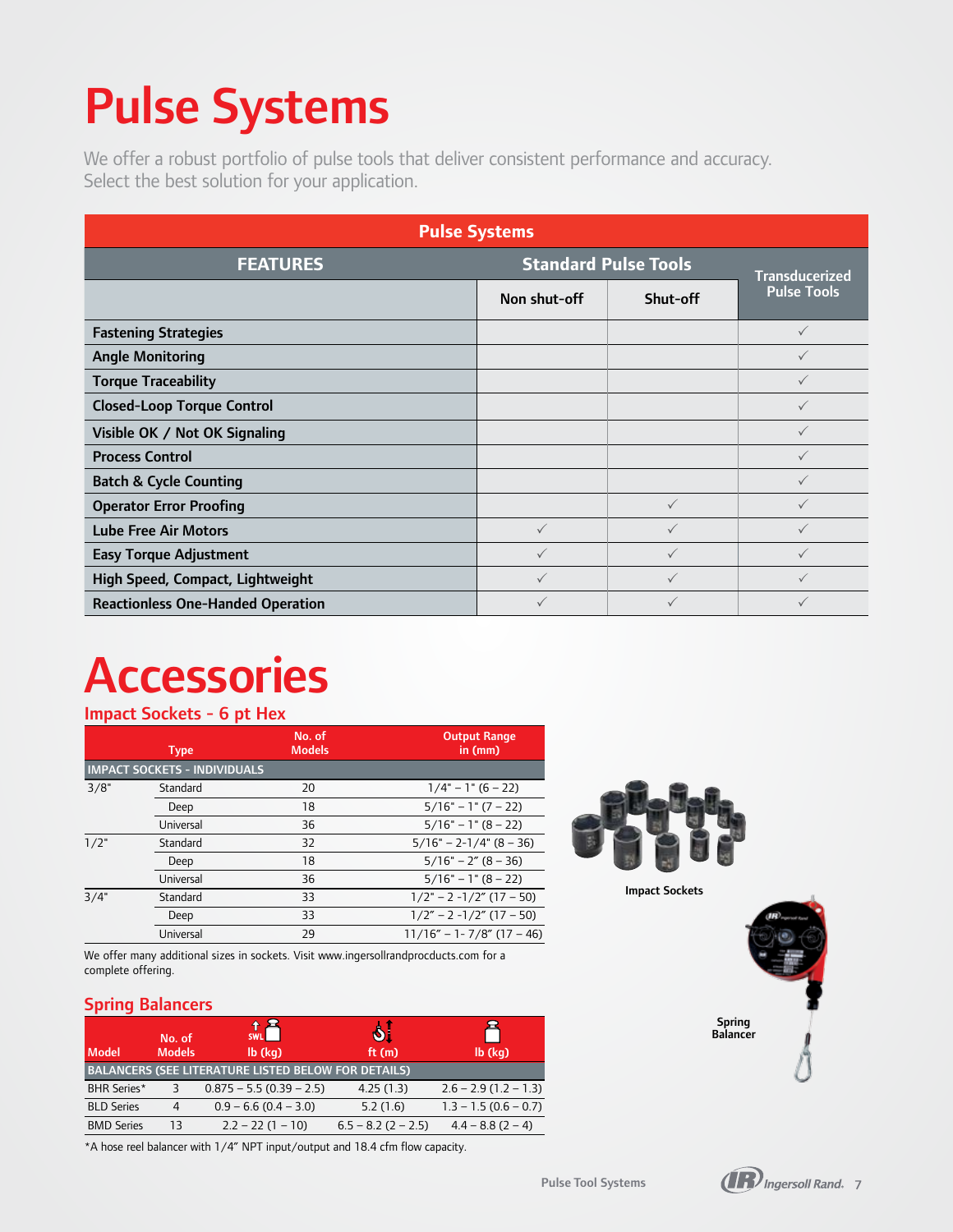# Pulse Systems

We offer a robust portfolio of pulse tools that deliver consistent performance and accuracy. Select the best solution for your application.

| <b>Pulse Systems</b>                     |                             |              |                                             |  |  |  |  |
|------------------------------------------|-----------------------------|--------------|---------------------------------------------|--|--|--|--|
| <b>FEATURES</b>                          | <b>Standard Pulse Tools</b> |              |                                             |  |  |  |  |
|                                          | Non shut-off                | Shut-off     | <b>Transducerized</b><br><b>Pulse Tools</b> |  |  |  |  |
| <b>Fastening Strategies</b>              |                             |              | $\checkmark$                                |  |  |  |  |
| <b>Angle Monitoring</b>                  |                             |              | $\checkmark$                                |  |  |  |  |
| <b>Torque Traceability</b>               |                             |              |                                             |  |  |  |  |
| <b>Closed-Loop Torque Control</b>        |                             |              | $\checkmark$                                |  |  |  |  |
| Visible OK / Not OK Signaling            |                             |              | $\checkmark$                                |  |  |  |  |
| <b>Process Control</b>                   |                             |              |                                             |  |  |  |  |
| <b>Batch &amp; Cycle Counting</b>        |                             |              | $\checkmark$                                |  |  |  |  |
| <b>Operator Error Proofing</b>           |                             | $\checkmark$ | $\checkmark$                                |  |  |  |  |
| <b>Lube Free Air Motors</b>              | ✓                           | ✓            | $\checkmark$                                |  |  |  |  |
| <b>Easy Torque Adjustment</b>            |                             | ✓            |                                             |  |  |  |  |
| High Speed, Compact, Lightweight         | ✓                           | $\checkmark$ | $\checkmark$                                |  |  |  |  |
| <b>Reactionless One-Handed Operation</b> | ✓                           | ✓            |                                             |  |  |  |  |

### **Accessories**

#### Impact Sockets - 6 pt Hex

|      | <b>Type</b>                         | No. of<br><b>Models</b> | <b>Output Range</b><br>in $(mm)$ |  |  |  |  |  |  |  |
|------|-------------------------------------|-------------------------|----------------------------------|--|--|--|--|--|--|--|
|      | <b>IMPACT SOCKETS - INDIVIDUALS</b> |                         |                                  |  |  |  |  |  |  |  |
| 3/8" | Standard                            | 20                      | $1/4$ " – 1" (6 – 22)            |  |  |  |  |  |  |  |
|      | Deep                                | 18                      | $5/16" - 1" (7 - 22)$            |  |  |  |  |  |  |  |
|      | Universal                           | 36                      | $5/16" - 1" (8 - 22)$            |  |  |  |  |  |  |  |
| 1/2" | Standard                            | 32                      | $5/16" - 2-1/4" (8 - 36)$        |  |  |  |  |  |  |  |
|      | Deep                                | 18                      | $5/16" - 2" (8 - 36)$            |  |  |  |  |  |  |  |
|      | Universal                           | 36                      | $5/16" - 1" (8 - 22)$            |  |  |  |  |  |  |  |
| 3/4" | Standard                            | 33                      | $1/2$ " – 2 -1/2" (17 – 50)      |  |  |  |  |  |  |  |
|      | Deep                                | 33                      | $1/2" - 2 - 1/2"$ (17 – 50)      |  |  |  |  |  |  |  |
|      | Universal                           | 29                      | $11/16'' - 1 - 7/8''$ (17 – 46)  |  |  |  |  |  |  |  |

We offer many additional sizes in sockets. Visit www.ingersollrandprocducts.com for a complete offering.

#### Spring Balancers

| l Model           | No. of<br><b>Models</b> | 十旦<br><b>SWL</b><br>$\mathsf{lb}(\mathsf{kq})$             | $\mathbf{v}$<br>ft(m) | $lb$ ( $kq$ )           |
|-------------------|-------------------------|------------------------------------------------------------|-----------------------|-------------------------|
|                   |                         | <b>BALANCERS (SEE LITERATURE LISTED BELOW FOR DETAILS)</b> |                       |                         |
| BHR Series*       |                         | $0.875 - 5.5 (0.39 - 2.5)$                                 | 4.25(1.3)             | $2.6 - 2.9(1.2 - 1.3)$  |
| <b>BLD Series</b> | 4                       | $0.9 - 6.6$ (0.4 - 3.0)                                    | 5.2(1.6)              | $1.3 - 1.5 (0.6 - 0.7)$ |
| <b>BMD Series</b> | 13                      | $2.2 - 22(1 - 10)$                                         | $6.5 - 8.2 (2 - 2.5)$ | $4.4 - 8.8(2 - 4)$      |

\*A hose reel balancer with 1/4" NPT input/output and 18.4 cfm flow capacity.



Impact Sockets